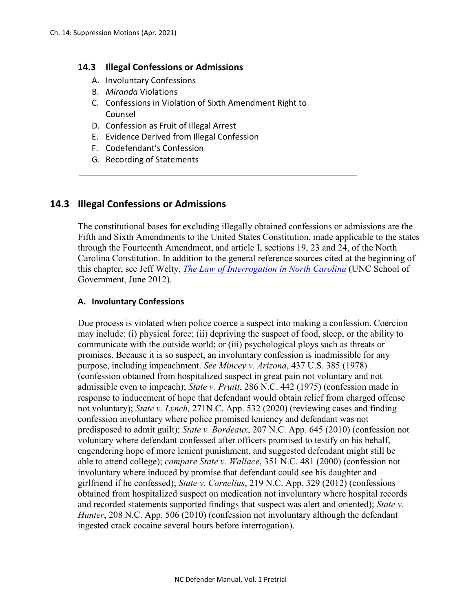#### **14.3 Illegal Confessions or Admissions**

- A. Involuntary Confessions
- B. *Miranda* Violations
- C. Confessions in Violation of Sixth Amendment Right to Counsel
- D. Confession as Fruit of Illegal Arrest
- E. Evidence Derived from Illegal Confession
- F. Codefendant's Confession
- G. Recording of Statements

# **14.3 Illegal Confessions or Admissions**

The constitutional bases for excluding illegally obtained confessions or admissions are the Fifth and Sixth Amendments to the United States Constitution, made applicable to the states through the Fourteenth Amendment, and article I, sections 19, 23 and 24, of the North Carolina Constitution. In addition to the general reference sources cited at the beginning of this chapter, see Jeff Welty, *[The Law of Interrogation](http://benchbook.sog.unc.edu/criminal/interrogations) in North Carolina* (UNC School of Government, June 2012).

#### **A. Involuntary Confessions**

Due process is violated when police coerce a suspect into making a confession. Coercion may include: (i) physical force; (ii) depriving the suspect of food, sleep, or the ability to communicate with the outside world; or (iii) psychological ploys such as threats or promises. Because it is so suspect, an involuntary confession is inadmissible for any purpose, including impeachment. *See Mincey v. Arizona*, 437 U.S. 385 (1978) (confession obtained from hospitalized suspect in great pain not voluntary and not admissible even to impeach); *State v. Pruitt*, 286 N.C. 442 (1975) (confession made in response to inducement of hope that defendant would obtain relief from charged offense not voluntary); *State v. Lynch,* 271N.C. App. 532 (2020) (reviewing cases and finding confession involuntary where police promised leniency and defendant was not predisposed to admit guilt); *State v. Bordeaux*, 207 N.C. App. 645 (2010) (confession not voluntary where defendant confessed after officers promised to testify on his behalf, engendering hope of more lenient punishment, and suggested defendant might still be able to attend college); *compare State v. Wallace*, 351 N.C. 481 (2000) (confession not involuntary where induced by promise that defendant could see his daughter and girlfriend if he confessed); *State v. Cornelius*, 219 N.C. App. 329 (2012) (confessions obtained from hospitalized suspect on medication not involuntary where hospital records and recorded statements supported findings that suspect was alert and oriented); *State v. Hunter*, 208 N.C. App. 506 (2010) (confession not involuntary although the defendant ingested crack cocaine several hours before interrogation).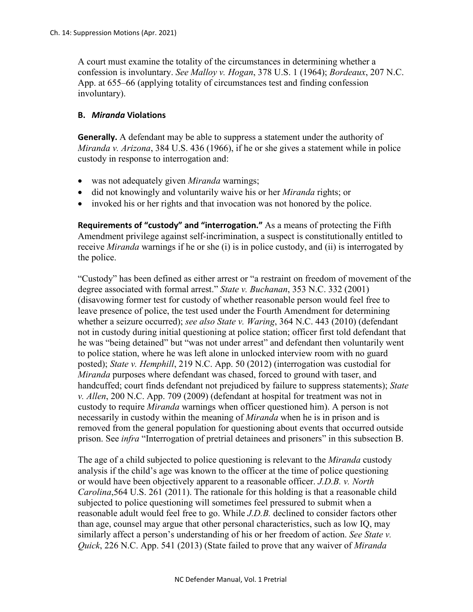A court must examine the totality of the circumstances in determining whether a confession is involuntary. *See Malloy v. Hogan*, 378 U.S. 1 (1964); *Bordeaux*, 207 N.C. App. at 655–66 (applying totality of circumstances test and finding confession involuntary).

#### **B.** *Miranda* **Violations**

**Generally.** A defendant may be able to suppress a statement under the authority of *Miranda v. Arizona*, 384 U.S. 436 (1966), if he or she gives a statement while in police custody in response to interrogation and:

- was not adequately given *Miranda* warnings;
- did not knowingly and voluntarily waive his or her *Miranda* rights; or
- invoked his or her rights and that invocation was not honored by the police.

**Requirements of "custody" and "interrogation."** As a means of protecting the Fifth Amendment privilege against self-incrimination, a suspect is constitutionally entitled to receive *Miranda* warnings if he or she (i) is in police custody, and (ii) is interrogated by the police.

"Custody" has been defined as either arrest or "a restraint on freedom of movement of the degree associated with formal arrest." *State v. Buchanan*, 353 N.C. 332 (2001) (disavowing former test for custody of whether reasonable person would feel free to leave presence of police, the test used under the Fourth Amendment for determining whether a seizure occurred); *see also State v. Waring*, 364 N.C. 443 (2010) (defendant not in custody during initial questioning at police station; officer first told defendant that he was "being detained" but "was not under arrest" and defendant then voluntarily went to police station, where he was left alone in unlocked interview room with no guard posted); *State v. Hemphill*, 219 N.C. App. 50 (2012) (interrogation was custodial for *Miranda* purposes where defendant was chased, forced to ground with taser, and handcuffed; court finds defendant not prejudiced by failure to suppress statements); *State v. Allen*, 200 N.C. App. 709 (2009) (defendant at hospital for treatment was not in custody to require *Miranda* warnings when officer questioned him). A person is not necessarily in custody within the meaning of *Miranda* when he is in prison and is removed from the general population for questioning about events that occurred outside prison. See *infra* "Interrogation of pretrial detainees and prisoners" in this subsection B.

The age of a child subjected to police questioning is relevant to the *Miranda* custody analysis if the child's age was known to the officer at the time of police questioning or would have been objectively apparent to a reasonable officer. *J.D.B. v. North Carolina*,564 U.S. 261 (2011). The rationale for this holding is that a reasonable child subjected to police questioning will sometimes feel pressured to submit when a reasonable adult would feel free to go. While *J.D.B.* declined to consider factors other than age, counsel may argue that other personal characteristics, such as low IQ, may similarly affect a person's understanding of his or her freedom of action. *See State v. Quick*, 226 N.C. App. 541 (2013) (State failed to prove that any waiver of *Miranda*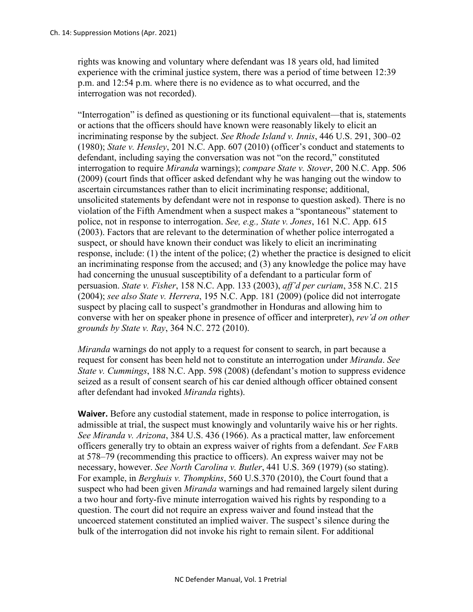rights was knowing and voluntary where defendant was 18 years old, had limited experience with the criminal justice system, there was a period of time between 12:39 p.m. and 12:54 p.m. where there is no evidence as to what occurred, and the interrogation was not recorded).

"Interrogation" is defined as questioning or its functional equivalent—that is, statements or actions that the officers should have known were reasonably likely to elicit an incriminating response by the subject. *See Rhode Island v. Innis*, 446 U.S. 291, 300–02 (1980); *State v. Hensley*, 201 N.C. App. 607 (2010) (officer's conduct and statements to defendant, including saying the conversation was not "on the record," constituted interrogation to require *Miranda* warnings); *compare State v. Stover*, 200 N.C. App. 506 (2009) (court finds that officer asked defendant why he was hanging out the window to ascertain circumstances rather than to elicit incriminating response; additional, unsolicited statements by defendant were not in response to question asked). There is no violation of the Fifth Amendment when a suspect makes a "spontaneous" statement to police, not in response to interrogation. *See, e.g., State v. Jones*, 161 N.C. App. 615 (2003). Factors that are relevant to the determination of whether police interrogated a suspect, or should have known their conduct was likely to elicit an incriminating response, include: (1) the intent of the police; (2) whether the practice is designed to elicit an incriminating response from the accused; and (3) any knowledge the police may have had concerning the unusual susceptibility of a defendant to a particular form of persuasion. *State v. Fisher*, 158 N.C. App. 133 (2003), *aff'd per curiam*, 358 N.C. 215 (2004); *see also State v. Herrera*, 195 N.C. App. 181 (2009) (police did not interrogate suspect by placing call to suspect's grandmother in Honduras and allowing him to converse with her on speaker phone in presence of officer and interpreter), *rev'd on other grounds by State v. Ray*, [364 N.C. 272 \(2010\).](https://a.next.westlaw.com/Link/Document/FullText?findType=Y&serNum=2022865634&pubNum=711&originationContext=document&transitionType=DocumentItem&contextData=(sc.Keycite))

*Miranda* warnings do not apply to a request for consent to search, in part because a request for consent has been held not to constitute an interrogation under *Miranda*. *See State v. Cummings*, 188 N.C. App. 598 (2008) (defendant's motion to suppress evidence seized as a result of consent search of his car denied although officer obtained consent after defendant had invoked *Miranda* rights).

**Waiver.** Before any custodial statement, made in response to police interrogation, is admissible at trial, the suspect must knowingly and voluntarily waive his or her rights. *See Miranda v. Arizona*, 384 U.S. 436 (1966). As a practical matter, law enforcement officers generally try to obtain an express waiver of rights from a defendant. *See* FARB at 578–79 (recommending this practice to officers). An express waiver may not be necessary, however. *See North Carolina v. Butler*, 441 U.S. 369 (1979) (so stating). For example, in *Berghuis v. Thompkins*, 560 U.S.370 (2010), the Court found that a suspect who had been given *Miranda* warnings and had remained largely silent during a two hour and forty-five minute interrogation waived his rights by responding to a question. The court did not require an express waiver and found instead that the uncoerced statement constituted an implied waiver. The suspect's silence during the bulk of the interrogation did not invoke his right to remain silent. For additional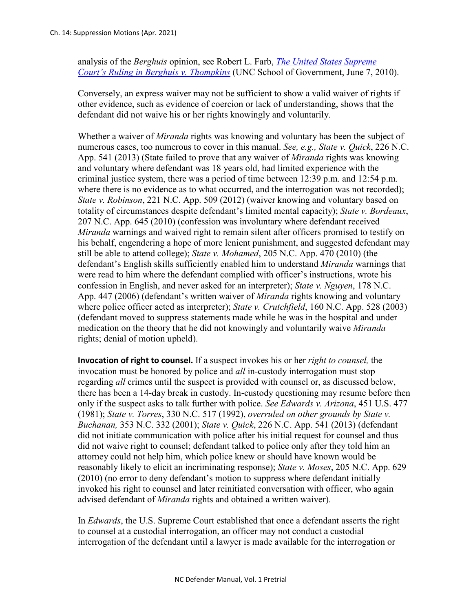analysis of the *Berghuis* opinion, see Robert L. Farb, *[The United States Supreme](https://www.sog.unc.edu/sites/www.sog.unc.edu/files/reports/berghuisvthompkins.pdf)  [Court's Ruling in Berghuis v. Thompkins](https://www.sog.unc.edu/sites/www.sog.unc.edu/files/reports/berghuisvthompkins.pdf)* (UNC School of Government, June 7, 2010).

Conversely, an express waiver may not be sufficient to show a valid waiver of rights if other evidence, such as evidence of coercion or lack of understanding, shows that the defendant did not waive his or her rights knowingly and voluntarily.

Whether a waiver of *Miranda* rights was knowing and voluntary has been the subject of numerous cases, too numerous to cover in this manual. *See, e.g., State v. Quick*, 226 N.C. App. 541 (2013) (State failed to prove that any waiver of *Miranda* rights was knowing and voluntary where defendant was 18 years old, had limited experience with the criminal justice system, there was a period of time between 12:39 p.m. and 12:54 p.m. where there is no evidence as to what occurred, and the interrogation was not recorded); *State v. Robinson*, 221 N.C. App. 509 (2012) (waiver knowing and voluntary based on totality of circumstances despite defendant's limited mental capacity); *State v. Bordeaux*, 207 N.C. App. 645 (2010) (confession was involuntary where defendant received *Miranda* warnings and waived right to remain silent after officers promised to testify on his behalf, engendering a hope of more lenient punishment, and suggested defendant may still be able to attend college); *State v. Mohamed*, 205 N.C. App. 470 (2010) (the defendant's English skills sufficiently enabled him to understand *Miranda* warnings that were read to him where the defendant complied with officer's instructions, wrote his confession in English, and never asked for an interpreter); *State v. Nguyen*, 178 N.C. App. 447 (2006) (defendant's written waiver of *Miranda* rights knowing and voluntary where police officer acted as interpreter); *State v. Crutchfield*, 160 N.C. App. 528 (2003) (defendant moved to suppress statements made while he was in the hospital and under medication on the theory that he did not knowingly and voluntarily waive *Miranda* rights; denial of motion upheld).

**Invocation of right to counsel.** If a suspect invokes his or her *right to counsel,* the invocation must be honored by police and *all* in-custody interrogation must stop regarding *all* crimes until the suspect is provided with counsel or, as discussed below, there has been a 14-day break in custody. In-custody questioning may resume before then only if the suspect asks to talk further with police. *See Edwards v. Arizona*, 451 U.S. 477 (1981); *State v. Torres*, 330 N.C. 517 (1992), *overruled on other grounds by State v. Buchanan,* 353 N.C. 332 (2001); *State v. Quick*, 226 N.C. App. 541 (2013) (defendant did not initiate communication with police after his initial request for counsel and thus did not waive right to counsel; defendant talked to police only after they told him an attorney could not help him, which police knew or should have known would be reasonably likely to elicit an incriminating response); *State v. Moses*, 205 N.C. App. 629 (2010) (no error to deny defendant's motion to suppress where defendant initially invoked his right to counsel and later reinitiated conversation with officer, who again advised defendant of *Miranda* rights and obtained a written waiver).

In *Edwards*, the U.S. Supreme Court established that once a defendant asserts the right to counsel at a custodial interrogation, an officer may not conduct a custodial interrogation of the defendant until a lawyer is made available for the interrogation or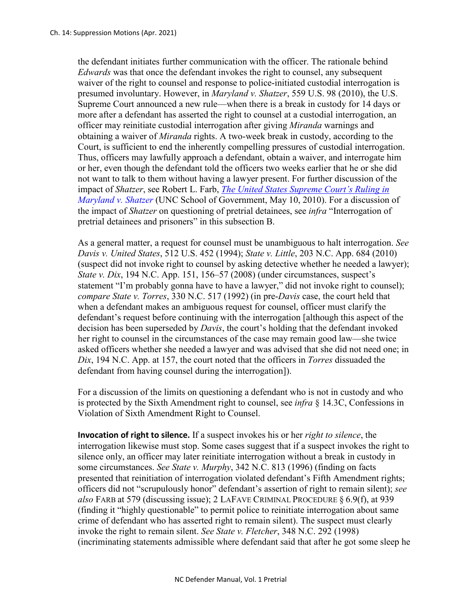the defendant initiates further communication with the officer. The rationale behind *Edwards* was that once the defendant invokes the right to counsel, any subsequent waiver of the right to counsel and response to police-initiated custodial interrogation is presumed involuntary. However, in *Maryland v. Shatzer*, 559 U.S. 98 (2010), the U.S. Supreme Court announced a new rule—when there is a break in custody for 14 days or more after a defendant has asserted the right to counsel at a custodial interrogation, an officer may reinitiate custodial interrogation after giving *Miranda* warnings and obtaining a waiver of *Miranda* rights. A two-week break in custody, according to the Court, is sufficient to end the inherently compelling pressures of custodial interrogation. Thus, officers may lawfully approach a defendant, obtain a waiver, and interrogate him or her, even though the defendant told the officers two weeks earlier that he or she did not want to talk to them without having a lawyer present. For further discussion of the impact of *Shatzer*, see Robert L. Farb, *[The United States Supreme Court's Ruling in](https://www.sog.unc.edu/sites/www.sog.unc.edu/files/reports/marylandshatzer2010.pdf)  [Maryland v. Shatzer](https://www.sog.unc.edu/sites/www.sog.unc.edu/files/reports/marylandshatzer2010.pdf)* (UNC School of Government, May 10, 2010). For a discussion of the impact of *Shatzer* on questioning of pretrial detainees, see *infra* "Interrogation of pretrial detainees and prisoners" in this subsection B.

As a general matter, a request for counsel must be unambiguous to halt interrogation. *See Davis v. United States*, 512 U.S. 452 (1994); *State v. Little*, 203 N.C. App. 684 (2010) (suspect did not invoke right to counsel by asking detective whether he needed a lawyer); *State v. Dix*, 194 N.C. App. 151, 156–57 (2008) (under circumstances, suspect's statement "I'm probably gonna have to have a lawyer," did not invoke right to counsel); *compare State v. Torres*, 330 N.C. 517 (1992) (in pre-*Davis* case, the court held that when a defendant makes an ambiguous request for counsel, officer must clarify the defendant's request before continuing with the interrogation [although this aspect of the decision has been superseded by *Davis*, the court's holding that the defendant invoked her right to counsel in the circumstances of the case may remain good law—she twice asked officers whether she needed a lawyer and was advised that she did not need one; in *Dix*, 194 N.C. App. at 157, the court noted that the officers in *Torres* dissuaded the defendant from having counsel during the interrogation]).

For a discussion of the limits on questioning a defendant who is not in custody and who is protected by the Sixth Amendment right to counsel, see *infra* § 14.3C, Confessions in Violation of Sixth Amendment Right to Counsel.

**Invocation of right to silence.** If a suspect invokes his or her *right to silence*, the interrogation likewise must stop. Some cases suggest that if a suspect invokes the right to silence only, an officer may later reinitiate interrogation without a break in custody in some circumstances. *See State v. Murphy*, 342 N.C. 813 (1996) (finding on facts presented that reinitiation of interrogation violated defendant's Fifth Amendment rights; officers did not "scrupulously honor" defendant's assertion of right to remain silent); *see also* FARB at 579 (discussing issue); 2 LAFAVE CRIMINAL PROCEDURE § 6.9(f), at 939 (finding it "highly questionable" to permit police to reinitiate interrogation about same crime of defendant who has asserted right to remain silent). The suspect must clearly invoke the right to remain silent. *See State v. Fletcher*, 348 N.C. 292 (1998) (incriminating statements admissible where defendant said that after he got some sleep he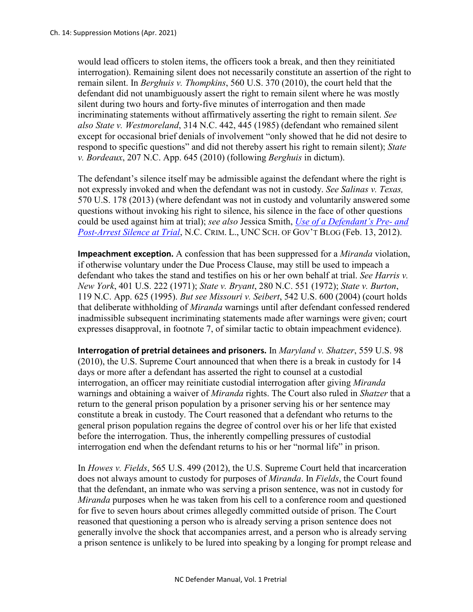would lead officers to stolen items, the officers took a break, and then they reinitiated interrogation). Remaining silent does not necessarily constitute an assertion of the right to remain silent. In *Berghuis v. Thompkins*, 560 U.S. 370 (2010), the court held that the defendant did not unambiguously assert the right to remain silent where he was mostly silent during two hours and forty-five minutes of interrogation and then made incriminating statements without affirmatively asserting the right to remain silent. *See also State v. Westmoreland*, 314 N.C. 442, 445 (1985) (defendant who remained silent except for occasional brief denials of involvement "only showed that he did not desire to respond to specific questions" and did not thereby assert his right to remain silent); *State v. Bordeaux*, 207 N.C. App. 645 (2010) (following *Berghuis* in dictum).

The defendant's silence itself may be admissible against the defendant where the right is not expressly invoked and when the defendant was not in custody. *See Salinas v. Texas,*  570 U.S. 178 (2013) (where defendant was not in custody and voluntarily answered some questions without invoking his right to silence, his silence in the face of other questions could be used against him at trial); *see also* Jessica Smith, *[Use of a Defendant's Pre-](https://nccriminallaw.sog.unc.edu/use-of-a-defendants-pre-and-post-arrest-silence-at-trial/) and Post-Arrest [Silence at Trial](https://nccriminallaw.sog.unc.edu/use-of-a-defendants-pre-and-post-arrest-silence-at-trial/)*, N.C. CRIM. L., UNC SCH. OF GOV'T BLOG (Feb. 13, 2012).

**Impeachment exception.** A confession that has been suppressed for a *Miranda* violation, if otherwise voluntary under the Due Process Clause, may still be used to impeach a defendant who takes the stand and testifies on his or her own behalf at trial. *See Harris v. New York*, 401 U.S. 222 (1971); *State v. Bryant*, 280 N.C. 551 (1972); *State v. Burton*, 119 N.C. App. 625 (1995). *But see Missouri v. Seibert*, 542 U.S. 600 (2004) (court holds that deliberate withholding of *Miranda* warnings until after defendant confessed rendered inadmissible subsequent incriminating statements made after warnings were given; court expresses disapproval, in footnote 7, of similar tactic to obtain impeachment evidence).

**Interrogation of pretrial detainees and prisoners.** In *Maryland v. Shatzer*, 559 U.S. 98 (2010), the U.S. Supreme Court announced that when there is a break in custody for 14 days or more after a defendant has asserted the right to counsel at a custodial interrogation, an officer may reinitiate custodial interrogation after giving *Miranda*  warnings and obtaining a waiver of *Miranda* rights. The Court also ruled in *Shatzer* that a return to the general prison population by a prisoner serving his or her sentence may constitute a break in custody. The Court reasoned that a defendant who returns to the general prison population regains the degree of control over his or her life that existed before the interrogation. Thus, the inherently compelling pressures of custodial interrogation end when the defendant returns to his or her "normal life" in prison.

In *Howes v. Fields*, 565 U.S. 499 (2012), the U.S. Supreme Court held that incarceration does not always amount to custody for purposes of *Miranda*. In *Fields*, the Court found that the defendant, an inmate who was serving a prison sentence, was not in custody for *Miranda* purposes when he was taken from his cell to a conference room and questioned for five to seven hours about crimes allegedly committed outside of prison. The Court reasoned that questioning a person who is already serving a prison sentence does not generally involve the shock that accompanies arrest, and a person who is already serving a prison sentence is unlikely to be lured into speaking by a longing for prompt release and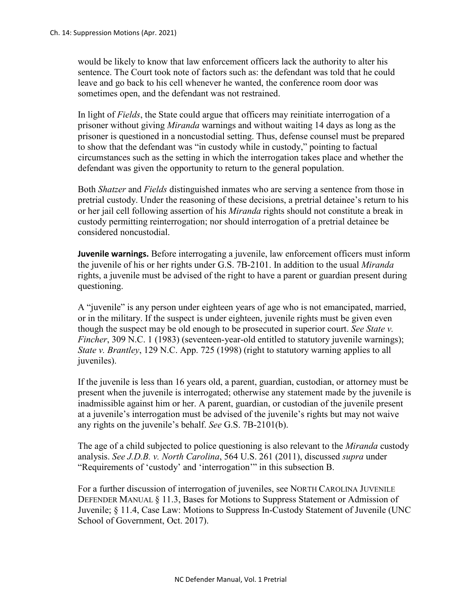would be likely to know that law enforcement officers lack the authority to alter his sentence. The Court took note of factors such as: the defendant was told that he could leave and go back to his cell whenever he wanted, the conference room door was sometimes open, and the defendant was not restrained.

In light of *Fields*, the State could argue that officers may reinitiate interrogation of a prisoner without giving *Miranda* warnings and without waiting 14 days as long as the prisoner is questioned in a noncustodial setting. Thus, defense counsel must be prepared to show that the defendant was "in custody while in custody," pointing to factual circumstances such as the setting in which the interrogation takes place and whether the defendant was given the opportunity to return to the general population.

Both *Shatzer* and *Fields* distinguished inmates who are serving a sentence from those in pretrial custody. Under the reasoning of these decisions, a pretrial detainee's return to his or her jail cell following assertion of his *Miranda* rights should not constitute a break in custody permitting reinterrogation; nor should interrogation of a pretrial detainee be considered noncustodial.

**Juvenile warnings.** Before interrogating a juvenile, law enforcement officers must inform the juvenile of his or her rights under G.S. 7B-2101. In addition to the usual *Miranda*  rights, a juvenile must be advised of the right to have a parent or guardian present during questioning.

A "juvenile" is any person under eighteen years of age who is not emancipated, married, or in the military. If the suspect is under eighteen, juvenile rights must be given even though the suspect may be old enough to be prosecuted in superior court. *See State v. Fincher*, 309 N.C. 1 (1983) (seventeen-year-old entitled to statutory juvenile warnings); *State v. Brantley*, 129 N.C. App. 725 (1998) (right to statutory warning applies to all juveniles).

If the juvenile is less than 16 years old, a parent, guardian, custodian, or attorney must be present when the juvenile is interrogated; otherwise any statement made by the juvenile is inadmissible against him or her. A parent, guardian, or custodian of the juvenile present at a juvenile's interrogation must be advised of the juvenile's rights but may not waive any rights on the juvenile's behalf. *See* G.S. 7B-2101(b).

The age of a child subjected to police questioning is also relevant to the *Miranda* custody analysis. *See J.D.B. v. North Carolina*, 564 U.S. 261 (2011), discussed *supra* under "Requirements of 'custody' and 'interrogation'" in this subsection B.

For a further discussion of interrogation of juveniles, see NORTH CAROLINA JUVENILE DEFENDER MANUAL § 11.3, Bases for Motions to Suppress Statement or Admission of Juvenile; § 11.4, Case Law: Motions to Suppress In-Custody Statement of Juvenile (UNC School of Government, Oct. 2017).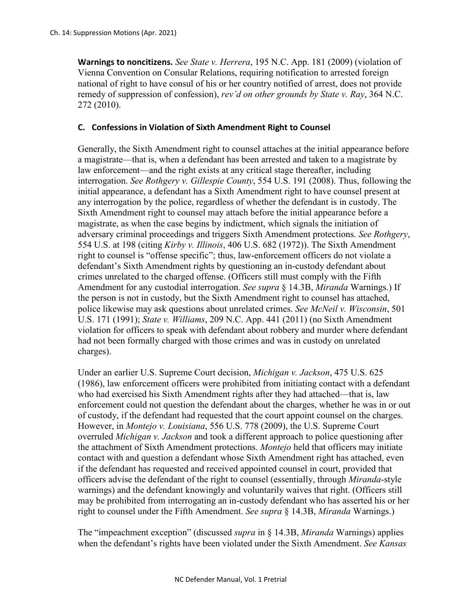**Warnings to noncitizens.** *See State v. Herrera*, 195 N.C. App. 181 (2009) (violation of Vienna Convention on Consular Relations, requiring notification to arrested foreign national of right to have consul of his or her country notified of arrest, does not provide remedy of suppression of confession), *rev'd on other grounds by State v. Ray*, 364 N.C. 272 (2010).

## **C. Confessions in Violation of Sixth Amendment Right to Counsel**

Generally, the Sixth Amendment right to counsel attaches at the initial appearance before a magistrate—that is, when a defendant has been arrested and taken to a magistrate by law enforcement—and the right exists at any critical stage thereafter, including interrogation. *See Rothgery v. Gillespie County*, 554 U.S. 191 (2008). Thus, following the initial appearance, a defendant has a Sixth Amendment right to have counsel present at any interrogation by the police, regardless of whether the defendant is in custody. The Sixth Amendment right to counsel may attach before the initial appearance before a magistrate, as when the case begins by indictment, which signals the initiation of adversary criminal proceedings and triggers Sixth Amendment protections. *See Rothgery*, 554 U.S. at 198 (citing *Kirby v. Illinois*, 406 U.S. 682 (1972)). The Sixth Amendment right to counsel is "offense specific"; thus, law-enforcement officers do not violate a defendant's Sixth Amendment rights by questioning an in-custody defendant about crimes unrelated to the charged offense. (Officers still must comply with the Fifth Amendment for any custodial interrogation. *See supra* § 14.3B, *Miranda* Warnings.) If the person is not in custody, but the Sixth Amendment right to counsel has attached, police likewise may ask questions about unrelated crimes. *See McNeil v. Wisconsin*, 501 U.S. 171 (1991); *State v. Williams*, 209 N.C. App. 441 (2011) (no Sixth Amendment violation for officers to speak with defendant about robbery and murder where defendant had not been formally charged with those crimes and was in custody on unrelated charges).

Under an earlier U.S. Supreme Court decision, *Michigan v. Jackson*, 475 U.S. 625 (1986), law enforcement officers were prohibited from initiating contact with a defendant who had exercised his Sixth Amendment rights after they had attached—that is, law enforcement could not question the defendant about the charges, whether he was in or out of custody, if the defendant had requested that the court appoint counsel on the charges. However, in *Montejo v. Louisiana*, 556 U.S. 778 (2009), the U.S. Supreme Court overruled *Michigan v. Jackson* and took a different approach to police questioning after the attachment of Sixth Amendment protections. *Montejo* held that officers may initiate contact with and question a defendant whose Sixth Amendment right has attached, even if the defendant has requested and received appointed counsel in court, provided that officers advise the defendant of the right to counsel (essentially, through *Miranda*-style warnings) and the defendant knowingly and voluntarily waives that right. (Officers still may be prohibited from interrogating an in-custody defendant who has asserted his or her right to counsel under the Fifth Amendment. *See supra* § 14.3B, *Miranda* Warnings.)

The "impeachment exception" (discussed *supra* in § 14.3B, *Miranda* Warnings) applies when the defendant's rights have been violated under the Sixth Amendment. *See Kansas*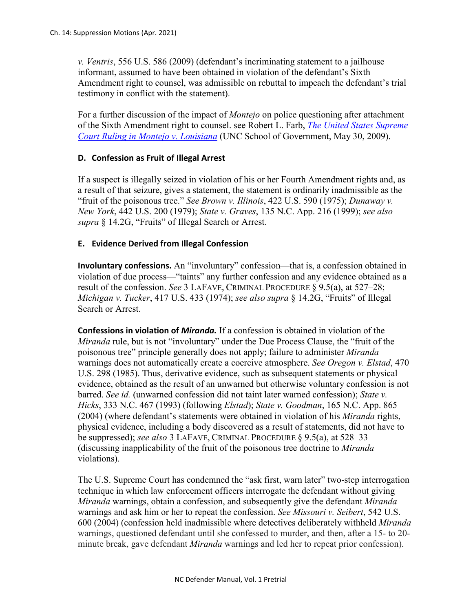*v. Ventris*, 556 U.S. 586 (2009) (defendant's incriminating statement to a jailhouse informant, assumed to have been obtained in violation of the defendant's Sixth Amendment right to counsel, was admissible on rebuttal to impeach the defendant's trial testimony in conflict with the statement).

For a further discussion of the impact of *Montejo* on police questioning after attachment of the Sixth Amendment right to counsel. see Robert L. Farb, *[The United States Supreme](https://www.sog.unc.edu/sites/www.sog.unc.edu/files/reports/Montejoruling.pdf)  Court Ruling in [Montejo v. Louisiana](https://www.sog.unc.edu/sites/www.sog.unc.edu/files/reports/Montejoruling.pdf)* (UNC School of Government, May 30, 2009).

## **D. Confession as Fruit of Illegal Arrest**

If a suspect is illegally seized in violation of his or her Fourth Amendment rights and, as a result of that seizure, gives a statement, the statement is ordinarily inadmissible as the "fruit of the poisonous tree." *See Brown v. Illinois*, 422 U.S. 590 (1975); *Dunaway v. New York*, 442 U.S. 200 (1979); *State v. Graves*, 135 N.C. App. 216 (1999); *see also supra* § 14.2G, "Fruits" of Illegal Search or Arrest.

## **E. Evidence Derived from Illegal Confession**

**Involuntary confessions.** An "involuntary" confession—that is, a confession obtained in violation of due process—"taints" any further confession and any evidence obtained as a result of the confession. *See* 3 LAFAVE, CRIMINAL PROCEDURE § 9.5(a), at 527–28; *Michigan v. Tucker*, 417 U.S. 433 (1974); *see also supra* § 14.2G, "Fruits" of Illegal Search or Arrest.

**Confessions in violation of** *Miranda.* If a confession is obtained in violation of the *Miranda* rule, but is not "involuntary" under the Due Process Clause, the "fruit of the poisonous tree" principle generally does not apply; failure to administer *Miranda*  warnings does not automatically create a coercive atmosphere. *See Oregon v. Elstad*, 470 U.S. 298 (1985). Thus, derivative evidence, such as subsequent statements or physical evidence, obtained as the result of an unwarned but otherwise voluntary confession is not barred. *See id.* (unwarned confession did not taint later warned confession); *State v. Hicks*, 333 N.C. 467 (1993) (following *Elstad*); *State v. Goodman*, 165 N.C. App. 865 (2004) (where defendant's statements were obtained in violation of his *Miranda* rights, physical evidence, including a body discovered as a result of statements, did not have to be suppressed); *see also* 3 LAFAVE, CRIMINAL PROCEDURE § 9.5(a), at 528–33 (discussing inapplicability of the fruit of the poisonous tree doctrine to *Miranda*  violations).

The U.S. Supreme Court has condemned the "ask first, warn later" two-step interrogation technique in which law enforcement officers interrogate the defendant without giving *Miranda* warnings, obtain a confession, and subsequently give the defendant *Miranda* warnings and ask him or her to repeat the confession. *See Missouri v. Seibert*, 542 U.S. 600 (2004) (confession held inadmissible where detectives deliberately withheld *[Miranda](https://a.next.westlaw.com/Link/Document/FullText?findType=Y&serNum=1966131580&originationContext=document&transitionType=DocumentItem&contextData=(sc.UserEnteredCitation))* warnings, questioned defendant until she confessed to murder, and then, after a 15- to 20 minute break, gave defendant *[Miranda](https://a.next.westlaw.com/Link/Document/FullText?findType=Y&serNum=1966131580&originationContext=document&transitionType=DocumentItem&contextData=(sc.UserEnteredCitation))* warnings and led her to repeat prior confession).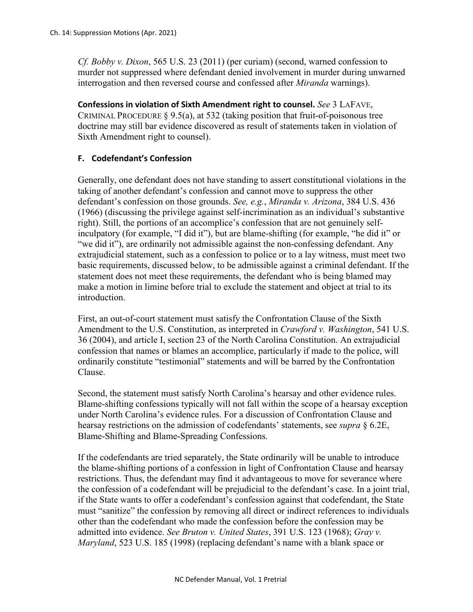*Cf. Bobby v. Dixon*, 565 U.S. 23 (2011) (per curiam) (second, warned confession to murder not suppressed where defendant denied involvement in murder during unwarned interrogation and then reversed course and confessed after *Miranda* warnings).

**Confessions in violation of Sixth Amendment right to counsel.** *See* 3 LAFAVE, CRIMINAL PROCEDURE  $\S 9.5(a)$ , at 532 (taking position that fruit-of-poisonous tree doctrine may still bar evidence discovered as result of statements taken in violation of Sixth Amendment right to counsel).

## **F. Codefendant's Confession**

Generally, one defendant does not have standing to assert constitutional violations in the taking of another defendant's confession and cannot move to suppress the other defendant's confession on those grounds. *See, e.g.*, *Miranda v. Arizona*, 384 U.S. 436 (1966) (discussing the privilege against self-incrimination as an individual's substantive right). Still, the portions of an accomplice's confession that are not genuinely selfinculpatory (for example, "I did it"), but are blame-shifting (for example, "he did it" or "we did it"), are ordinarily not admissible against the non-confessing defendant. Any extrajudicial statement, such as a confession to police or to a lay witness, must meet two basic requirements, discussed below, to be admissible against a criminal defendant. If the statement does not meet these requirements, the defendant who is being blamed may make a motion in limine before trial to exclude the statement and object at trial to its introduction.

First, an out-of-court statement must satisfy the Confrontation Clause of the Sixth Amendment to the U.S. Constitution, as interpreted in *Crawford v. Washington*, 541 U.S. 36 (2004), and article I, section 23 of the North Carolina Constitution. An extrajudicial confession that names or blames an accomplice, particularly if made to the police, will ordinarily constitute "testimonial" statements and will be barred by the Confrontation Clause.

Second, the statement must satisfy North Carolina's hearsay and other evidence rules. Blame-shifting confessions typically will not fall within the scope of a hearsay exception under North Carolina's evidence rules. For a discussion of Confrontation Clause and hearsay restrictions on the admission of codefendants' statements, see *supra* § 6.2E, Blame-Shifting and Blame-Spreading Confessions.

If the codefendants are tried separately, the State ordinarily will be unable to introduce the blame-shifting portions of a confession in light of Confrontation Clause and hearsay restrictions. Thus, the defendant may find it advantageous to move for severance where the confession of a codefendant will be prejudicial to the defendant's case. In a joint trial, if the State wants to offer a codefendant's confession against that codefendant, the State must "sanitize" the confession by removing all direct or indirect references to individuals other than the codefendant who made the confession before the confession may be admitted into evidence. *See Bruton v. United States*, 391 U.S. 123 (1968); *Gray v. Maryland*, 523 U.S. 185 (1998) (replacing defendant's name with a blank space or